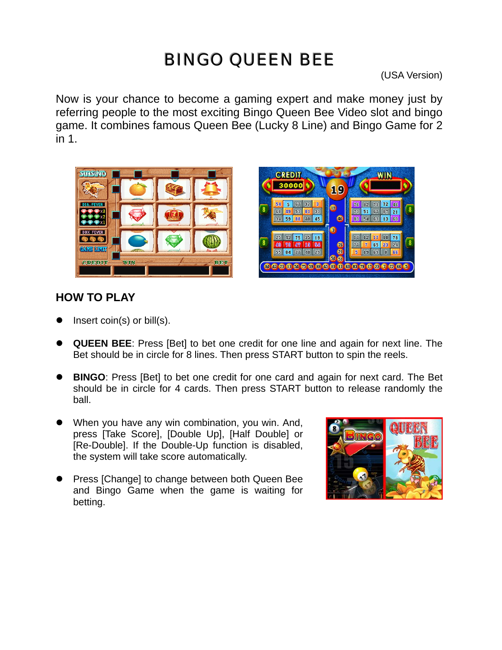# **BINGO QUEEN BEE**

(USA Version)

Now is your chance to become a gaming expert and make money just by referring people to the most exciting Bingo Queen Bee Video slot and bingo game. It combines famous Queen Bee (Lucky 8 Line) and Bingo Game for 2 in 1.



## **HOW TO PLAY**

- Insert coin(s) or bill(s).
- **QUEEN BEE:** Press [Bet] to bet one credit for one line and again for next line. The Bet should be in circle for 8 lines. Then press START button to spin the reels.
- **BINGO:** Press [Bet] to bet one credit for one card and again for next card. The Bet should be in circle for 4 cards. Then press START button to release randomly the ball.
- When you have any win combination, you win. And, press [Take Score], [Double Up], [Half Double] or [Re-Double]. If the Double-Up function is disabled, the system will take score automatically.
- Press [Change] to change between both Queen Bee and Bingo Game when the game is waiting for betting.

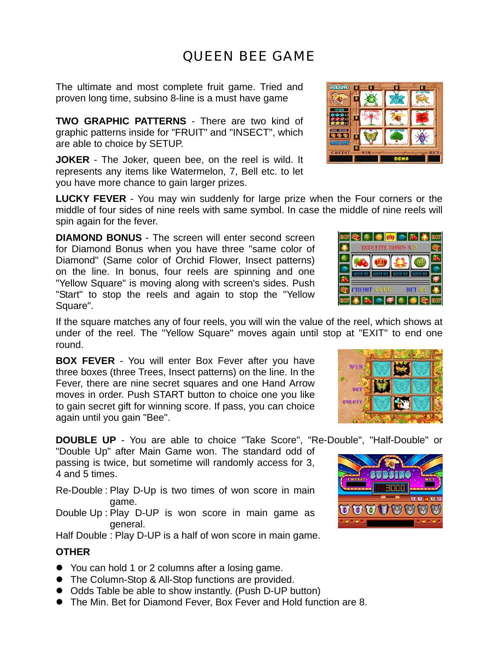# QUEEN BEE GAME

The ultimate and most complete fruit game. Tried and proven long time, subsino 8-line is a must have game

**TWO GRAPHIC PATTERNS** - There are two kind of graphic patterns inside for "FRUIT" and "INSECT", which are able to choice by SETUP.

**JOKER** - The Joker, queen bee, on the reel is wild. It represents any items like Watermelon, 7, Bell etc. to let you have more chance to gain larger prizes.

**LUCKY FEVER** - You may win suddenly for large prize when the Four corners or the middle of four sides of nine reels with same symbol. In case the middle of nine reels will spin again for the fever.

**DIAMOND BONUS** - The screen will enter second screen for Diamond Bonus when you have three "same color of Diamond" (Same color of Orchid Flower, Insect patterns) on the line. In bonus, four reels are spinning and one "Yellow Square" is moving along with screen's sides. Push "Start" to stop the reels and again to stop the "Yellow Square".

If the square matches any of four reels, you will win the value of the reel, which shows at under of the reel. The "Yellow Square" moves again until stop at "EXIT" to end one round.

**BOX FEVER** - You will enter Box Fever after you have three boxes (three Trees, Insect patterns) on the line. In the Fever, there are nine secret squares and one Hand Arrow moves in order. Push START button to choice one you like to gain secret gift for winning score. If pass, you can choice again until you gain "Bee".

**DOUBLE UP** - You are able to choice "Take Score", "Re-Double", "Half-Double" or

"Double Up" after Main Game won. The standard odd of passing is twice, but sometime will randomly access for 3, 4 and 5 times.

Re-Double : Play D-Up is two times of won score in main game.

Double Up : Play D-UP is won score in main game as general.

Half Double : Play D-UP is a half of won score in main game.

#### **OTHER**

- You can hold 1 or 2 columns after a losing game.
- The Column-Stop & All-Stop functions are provided.
- Odds Table be able to show instantly. (Push D-UP button)
- The Min. Bet for Diamond Fever, Box Fever and Hold function are 8.









 $\blacksquare$  and  $\blacksquare$ 

BET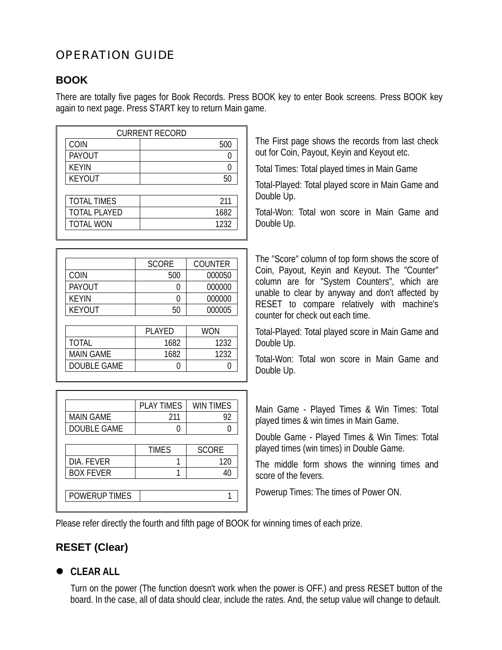# OPERATION GUIDE

# **BOOK**

There are totally five pages for Book Records. Press BOOK key to enter Book screens. Press BOOK key again to next page. Press START key to return Main game.

| <b>CURRENT RECORD</b> |      |  |  |  |
|-----------------------|------|--|--|--|
| COIN                  | 500  |  |  |  |
| PAYOUT                |      |  |  |  |
| <b>KEYIN</b>          |      |  |  |  |
| <b>KEYOUT</b>         | 50   |  |  |  |
|                       |      |  |  |  |
| <b>TOTAL TIMES</b>    | 211  |  |  |  |
| <b>TOTAL PLAYED</b>   | 1682 |  |  |  |
| <b>TOTAL WON</b>      | 1232 |  |  |  |
|                       |      |  |  |  |

|                    | <b>SCORE</b>  | <b>COUNTER</b> |
|--------------------|---------------|----------------|
| COIN               | 500           | 000050         |
| <b>PAYOUT</b>      |               | 000000         |
| <b>KEYIN</b>       |               | 000000         |
| <b>KEYOUT</b>      | 50            | 000005         |
|                    |               |                |
|                    | <b>PLAYED</b> | <b>WON</b>     |
| <b>TOTAL</b>       | 1682          | 1232           |
| <b>MAIN GAME</b>   | 1682          | 1232           |
| <b>DOUBLE GAME</b> |               |                |

|                  | <b>PLAY TIMES</b> | WIN TIMES    |
|------------------|-------------------|--------------|
| <b>MAIN GAME</b> | 211               | 92           |
| DOUBLE GAME      |                   |              |
|                  |                   |              |
|                  | <b>TIMES</b>      | <b>SCORE</b> |
| DIA. FEVER       |                   | 120          |
| <b>BOX FEVER</b> |                   |              |
|                  |                   |              |
| POWERUP TIMES    |                   |              |

The First page shows the records from last check out for Coin, Payout, Keyin and Keyout etc.

Total Times: Total played times in Main Game

Total-Played: Total played score in Main Game and Double Up.

Total-Won: Total won score in Main Game and Double Up.

The "Score" column of top form shows the score of Coin, Payout, Keyin and Keyout. The "Counter" column are for "System Counters", which are unable to clear by anyway and don't affected by RESET to compare relatively with machine's counter for check out each time.

Total-Played: Total played score in Main Game and Double Up.

Total-Won: Total won score in Main Game and Double Up.

Main Game - Played Times & Win Times: Total played times & win times in Main Game.

Double Game - Played Times & Win Times: Total played times (win times) in Double Game.

The middle form shows the winning times and score of the fevers.

Powerup Times: The times of Power ON.

Please refer directly the fourth and fifth page of BOOK for winning times of each prize.

# **RESET (Clear)**

# $CLEAR ALL$

Turn on the power (The function doesn't work when the power is OFF.) and press RESET button of the board. In the case, all of data should clear, include the rates. And, the setup value will change to default.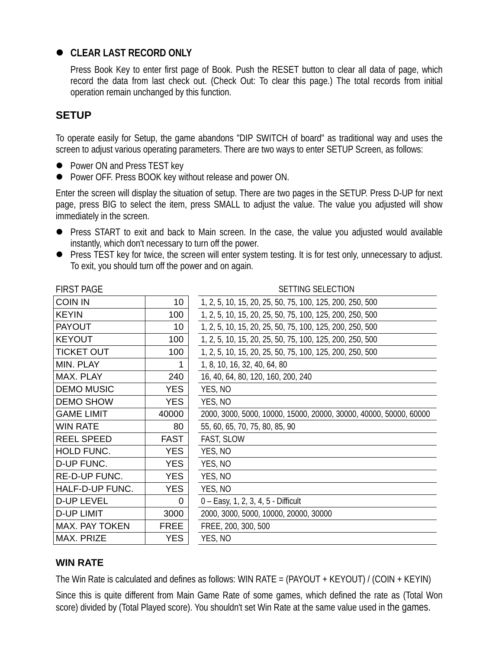### **• CLEAR LAST RECORD ONLY**

Press Book Key to enter first page of Book. Push the RESET button to clear all data of page, which record the data from last check out. (Check Out: To clear this page.) The total records from initial operation remain unchanged by this function.

### **SETUP**

To operate easily for Setup, the game abandons "DIP SWITCH of board" as traditional way and uses the screen to adjust various operating parameters. There are two ways to enter SETUP Screen, as follows:

- Power ON and Press TEST key
- Power OFF. Press BOOK key without release and power ON.

Enter the screen will display the situation of setup. There are two pages in the SETUP. Press D-UP for next page, press BIG to select the item, press SMALL to adjust the value. The value you adjusted will show immediately in the screen.

- Press START to exit and back to Main screen. In the case, the value you adjusted would available instantly, which don't necessary to turn off the power.
- Press TEST key for twice, the screen will enter system testing. It is for test only, unnecessary to adjust. To exit, you should turn off the power and on again.

FIRST PAGE SETTING SELECTION **COIN IN 10 10 1, 2, 5, 10, 15, 20, 25, 50, 75, 100, 125, 200, 250, 500** KEYIN 100 1, 2, 5, 10, 15, 20, 25, 50, 75, 100, 125, 200, 250, 500 **PAYOUT** 10 1, 2, 5, 10, 15, 20, 25, 50, 75, 100, 125, 200, 250, 500 KEYOUT 100 1, 2, 5, 10, 15, 20, 25, 50, 75, 100, 125, 200, 250, 500 TICKET OUT  $100 \mid 1, 2, 5, 10, 15, 20, 25, 50, 75, 100, 125, 200, 250, 500$ MIN. PLAY 1 1, 8, 10, 16, 32, 40, 64, 80 MAX. PLAY 16, 40, 64, 80, 120, 160, 200, 240 DEMO MUSIC | YES | YES, NO DEMO SHOW | YES | YES, NO WIN RATE  $80 \mid 55, 60, 65, 70, 75, 80, 85, 90$ REEL SPEED FAST FAST FAST, SLOW HOLD FUNC.  $|$  YES YES, NO D-UP FUNC.  $|$  YES YES, NO RE-D-UP FUNC. | YES | YES, NO HALF-D-UP FUNC. | YES | YES, NO **D-UP LEVEL**  $\begin{vmatrix} 0 & 0 & -\text{Easy, } 1, 2, 3, 4, 5 \end{vmatrix}$  - Difficult

GAME LIMIT 40000 | 2000, 3000, 5000, 10000, 15000, 20000, 30000, 40000, 50000, 60000

D-UP LIMIT 3000 2000, 3000, 5000, 10000, 20000, 30000 MAX. PAY TOKEN | FREE | FREE, 200, 300, 500 MAX. PRIZE | YES | YES, NO

#### **WIN RATE**

The Win Rate is calculated and defines as follows: WIN RATE = (PAYOUT + KEYOUT) / (COIN + KEYIN)

Since this is quite different from Main Game Rate of some games, which defined the rate as (Total Won score) divided by (Total Played score). You shouldn't set Win Rate at the same value used in the games.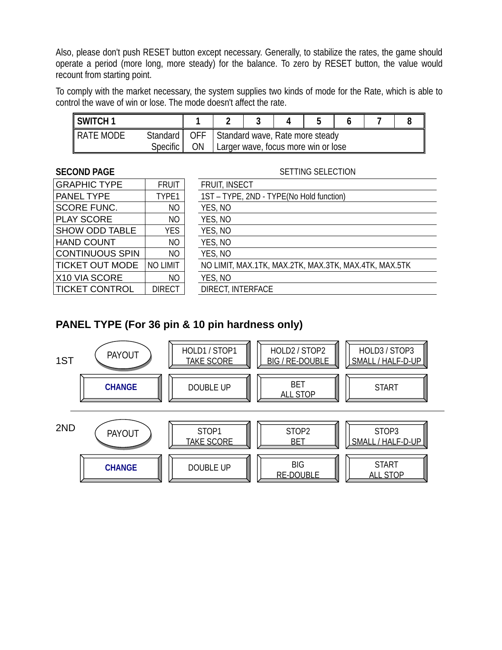Also, please don't push RESET button except necessary. Generally, to stabilize the rates, the game should operate a period (more long, more steady) for the balance. To zero by RESET button, the value would recount from starting point.

To comply with the market necessary, the system supplies two kinds of mode for the Rate, which is able to control the wave of win or lose. The mode doesn't affect the rate.

| I SWITCH 1 |                               |    |                                                                            |  |  |  |
|------------|-------------------------------|----|----------------------------------------------------------------------------|--|--|--|
| RATE MODE  | Standard  <br><b>Specific</b> | ON | OFF Standard wave, Rate more steady<br>Larger wave, focus more win or lose |  |  |  |

#### **SECOND PAGE** SETTING SELECTION

| <b>FRUIT</b>    | <b>FRUIT, INSECT</b>     |
|-----------------|--------------------------|
| TYPE1           | 1ST-TYPE, 2ND-TY         |
| NO              | YES, NO                  |
| NO              | YES, NO                  |
| <b>YES</b>      | YES, NO                  |
| NO              | YES, NO                  |
| ΝO              | YES, NO                  |
| <b>NO LIMIT</b> | NO LIMIT, MAX.1TK, I     |
| ΝO              | YES, NO                  |
| DIRECT          | <b>DIRECT, INTERFACE</b> |
|                 |                          |

| <b>GRAPHIC TYPE</b>    | <b>FRUIT</b>    | <b>FRUIT, INSECT</b>                                  |
|------------------------|-----------------|-------------------------------------------------------|
| PANEL TYPE             | TYPE1           | 1ST - TYPE, 2ND - TYPE(No Hold function)              |
| <b>SCORE FUNC.</b>     | NO              | YES, NO                                               |
| <b>PLAY SCORE</b>      | N <sub>O</sub>  | YES, NO                                               |
| <b>SHOW ODD TABLE</b>  | <b>YES</b>      | YES, NO                                               |
| <b>HAND COUNT</b>      | NO              | YES, NO                                               |
| <b>CONTINUOUS SPIN</b> | N <sub>O</sub>  | YES, NO                                               |
| TICKET OUT MODE        | <b>NO LIMIT</b> | NO LIMIT, MAX.1TK, MAX.2TK, MAX.3TK, MAX.4TK, MAX.5TK |
| X10 VIA SCORE          | NO              | YES, NO                                               |
| <b>TICKET CONTROL</b>  | <b>DIRECT</b>   | DIRECT, INTERFACE                                     |

#### **PANEL TYPE (For 36 pin & 10 pin hardness only)**